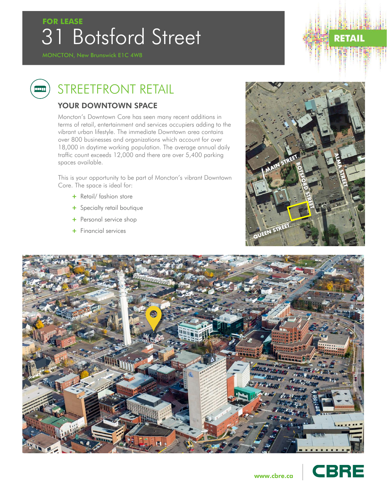## 31 Botsford Street **FOR LEASE**

ang p

# **RETAIL**

### STREETFRONT RETAIL

#### YOUR DOWNTOWN SPACE

Moncton's Downtown Core has seen many recent additions in terms of retail, entertainment and services occupiers adding to the vibrant urban lifestyle. The immediate Downtown area contains over 800 businesses and organizations which account for over 18,000 in daytime working population. The average annual daily traffic count exceeds 12,000 and there are over 5,400 parking spaces available.

This is your opportunity to be part of Moncton's vibrant Downtown Core. The space is ideal for:

- + Retail/ fashion store
- + Specialty retail boutique
- + Personal service shop
- + Financial services